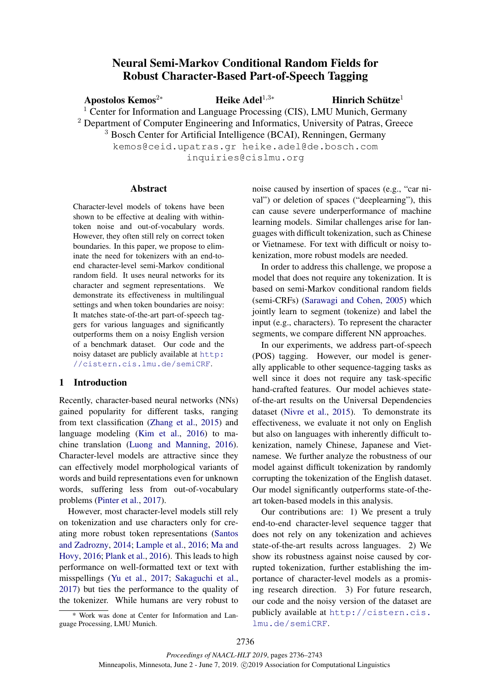# Neural Semi-Markov Conditional Random Fields for Robust Character-Based Part-of-Speech Tagging

Apostolos Kemos<sup>2∗</sup> Heike Adel<sup>1,3</sup>\*

Hinrich Schütze $1$ 

<sup>1</sup> Center for Information and Language Processing (CIS), LMU Munich, Germany

<sup>2</sup> Department of Computer Engineering and Informatics, University of Patras, Greece

<sup>3</sup> Bosch Center for Artificial Intelligence (BCAI), Renningen, Germany

kemos@ceid.upatras.gr heike.adel@de.bosch.com

inquiries@cislmu.org

# Abstract

Character-level models of tokens have been shown to be effective at dealing with withintoken noise and out-of-vocabulary words. However, they often still rely on correct token boundaries. In this paper, we propose to eliminate the need for tokenizers with an end-toend character-level semi-Markov conditional random field. It uses neural networks for its character and segment representations. We demonstrate its effectiveness in multilingual settings and when token boundaries are noisy: It matches state-of-the-art part-of-speech taggers for various languages and significantly outperforms them on a noisy English version of a benchmark dataset. Our code and the noisy dataset are publicly available at [http:](http://cistern.cis.lmu.de/semiCRF) [//cistern.cis.lmu.de/semiCRF](http://cistern.cis.lmu.de/semiCRF).

# 1 Introduction

Recently, character-based neural networks (NNs) gained popularity for different tasks, ranging from text classification [\(Zhang et al.,](#page-6-0) [2015\)](#page-6-0) and language modeling [\(Kim et al.,](#page-5-0) [2016\)](#page-5-0) to machine translation [\(Luong and Manning,](#page-5-1) [2016\)](#page-5-1). Character-level models are attractive since they can effectively model morphological variants of words and build representations even for unknown words, suffering less from out-of-vocabulary problems [\(Pinter et al.,](#page-6-1) [2017\)](#page-6-1).

However, most character-level models still rely on tokenization and use characters only for creating more robust token representations [\(Santos](#page-6-2) [and Zadrozny,](#page-6-2) [2014;](#page-6-2) [Lample et al.,](#page-5-2) [2016;](#page-5-2) [Ma and](#page-5-3) [Hovy,](#page-5-3) [2016;](#page-5-3) [Plank et al.,](#page-6-3) [2016\)](#page-6-3). This leads to high performance on well-formatted text or text with misspellings [\(Yu et al.,](#page-6-4) [2017;](#page-6-4) [Sakaguchi et al.,](#page-6-5) [2017\)](#page-6-5) but ties the performance to the quality of the tokenizer. While humans are very robust to

\* Work was done at Center for Information and Language Processing, LMU Munich.

noise caused by insertion of spaces (e.g., "car nival") or deletion of spaces ("deeplearning"), this can cause severe underperformance of machine learning models. Similar challenges arise for languages with difficult tokenization, such as Chinese or Vietnamese. For text with difficult or noisy tokenization, more robust models are needed.

In order to address this challenge, we propose a model that does not require any tokenization. It is based on semi-Markov conditional random fields (semi-CRFs) [\(Sarawagi and Cohen,](#page-6-6) [2005\)](#page-6-6) which jointly learn to segment (tokenize) and label the input (e.g., characters). To represent the character segments, we compare different NN approaches.

In our experiments, we address part-of-speech (POS) tagging. However, our model is generally applicable to other sequence-tagging tasks as well since it does not require any task-specific hand-crafted features. Our model achieves stateof-the-art results on the Universal Dependencies dataset [\(Nivre et al.,](#page-6-7) [2015\)](#page-6-7). To demonstrate its effectiveness, we evaluate it not only on English but also on languages with inherently difficult tokenization, namely Chinese, Japanese and Vietnamese. We further analyze the robustness of our model against difficult tokenization by randomly corrupting the tokenization of the English dataset. Our model significantly outperforms state-of-theart token-based models in this analysis.

Our contributions are: 1) We present a truly end-to-end character-level sequence tagger that does not rely on any tokenization and achieves state-of-the-art results across languages. 2) We show its robustness against noise caused by corrupted tokenization, further establishing the importance of character-level models as a promising research direction. 3) For future research, our code and the noisy version of the dataset are publicly available at [http://cistern.cis.](http://cistern.cis.lmu.de/semiCRF) [lmu.de/semiCRF](http://cistern.cis.lmu.de/semiCRF).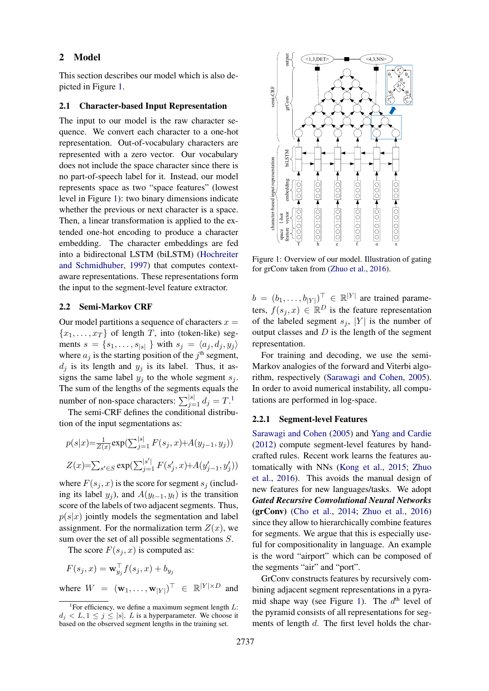#### 2 Model

This section describes our model which is also depicted in Figure [1.](#page-1-0)

#### <span id="page-1-2"></span>2.1 Character-based Input Representation

The input to our model is the raw character sequence. We convert each character to a one-hot representation. Out-of-vocabulary characters are represented with a zero vector. Our vocabulary does not include the space character since there is no part-of-speech label for it. Instead, our model represents space as two "space features" (lowest level in Figure [1\)](#page-1-0): two binary dimensions indicate whether the previous or next character is a space. Then, a linear transformation is applied to the extended one-hot encoding to produce a character embedding. The character embeddings are fed into a bidirectonal LSTM (biLSTM) [\(Hochreiter](#page-5-4) [and Schmidhuber,](#page-5-4) [1997\)](#page-5-4) that computes contextaware representations. These representations form the input to the segment-level feature extractor.

# 2.2 Semi-Markov CRF

Our model partitions a sequence of characters  $x =$  ${x_1, \ldots, x_T}$  of length T, into (token-like) segments  $s = \{s_1, \ldots, s_{|s|}\}\$  with  $s_j = \langle a_j, d_j, y_j \rangle$ where  $a_j$  is the starting position of the  $j<sup>th</sup>$  segment,  $d_i$  is its length and  $y_i$  is its label. Thus, it assigns the same label  $y_j$  to the whole segment  $s_j$ . The sum of the lengths of the segments equals the number of non-space characters:  $\sum_{j=1}^{|s|} d_j = T$  $\sum_{j=1}^{|s|} d_j = T$  $\sum_{j=1}^{|s|} d_j = T$ .<sup>1</sup>

The semi-CRF defines the conditional distribution of the input segmentations as:

$$
p(s|x) = \frac{1}{Z(x)} \exp(\sum_{j=1}^{|s|} F(s_j, x) + A(y_{j-1}, y_j))
$$
  

$$
Z(x) = \sum_{s' \in S} \exp(\sum_{j=1}^{|s'|} F(s'_j, x) + A(y'_{j-1}, y'_j))
$$

where  $F(s_i, x)$  is the score for segment  $s_i$  (including its label  $y_j$ ), and  $A(y_{t-1}, y_t)$  is the transition score of the labels of two adjacent segments. Thus,  $p(s|x)$  jointly models the segmentation and label assignment. For the normalization term  $Z(x)$ , we sum over the set of all possible segmentations S.

The score  $F(s_i, x)$  is computed as:

 $F(s_j, x) = \mathbf{w}_{y_j}^{\top} f(s_j, x) + b_{y_j}$ where  $W = (\mathbf{w}_1, \dots, \mathbf{w}_{|Y|})^{\top} \in \mathbb{R}^{|Y| \times D}$  and

<span id="page-1-0"></span>

Figure 1: Overview of our model. Illustration of gating for grConv taken from [\(Zhuo et al.,](#page-7-0) [2016\)](#page-7-0).

 $b = (b_1, \ldots, b_{|Y|})^{\top} \in \mathbb{R}^{|Y|}$  are trained parameters,  $f(s_j, x) \in \mathbb{R}^D$  is the feature representation of the labeled segment  $s_i$ , |Y| is the number of output classes and  $D$  is the length of the segment representation.

For training and decoding, we use the semi-Markov analogies of the forward and Viterbi algorithm, respectively [\(Sarawagi and Cohen,](#page-6-6) [2005\)](#page-6-6). In order to avoid numerical instability, all computations are performed in log-space.

### <span id="page-1-3"></span>2.2.1 Segment-level Features

[Sarawagi and Cohen](#page-6-6) [\(2005\)](#page-6-6) and [Yang and Cardie](#page-6-8) [\(2012\)](#page-6-8) compute segment-level features by handcrafted rules. Recent work learns the features automatically with NNs [\(Kong et al.,](#page-5-5) [2015;](#page-5-5) [Zhuo](#page-7-0) [et al.,](#page-7-0) [2016\)](#page-7-0). This avoids the manual design of new features for new languages/tasks. We adopt *Gated Recursive Convolutional Neural Networks* (grConv) [\(Cho et al.,](#page-5-6) [2014;](#page-5-6) [Zhuo et al.,](#page-7-0) [2016\)](#page-7-0) since they allow to hierarchically combine features for segments. We argue that this is especially useful for compositionality in language. An example is the word "airport" which can be composed of the segments "air" and "port".

GrConv constructs features by recursively combining adjacent segment representations in a pyra-mid shape way (see Figure [1\)](#page-1-0). The  $d<sup>th</sup>$  level of the pyramid consists of all representations for segments of length d. The first level holds the char-

<span id="page-1-1"></span><sup>&</sup>lt;sup>1</sup>For efficiency, we define a maximum segment length  $L$ :  $d_i < L, 1 \leq j \leq |s|$ . L is a hyperparameter. We choose it based on the observed segment lengths in the training set.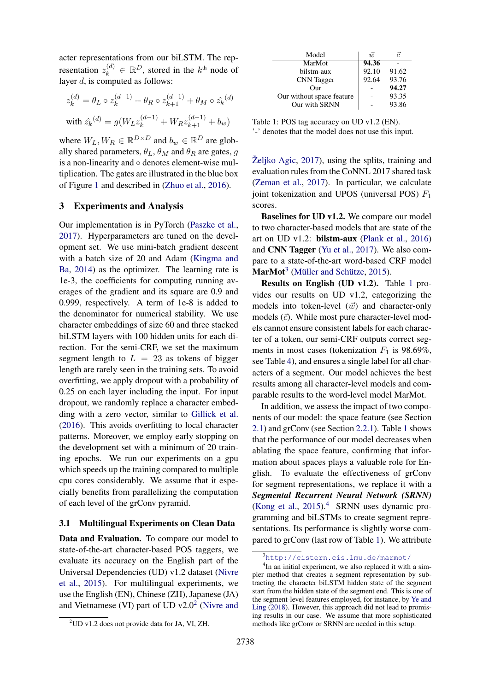acter representations from our biLSTM. The representation  $z_k^{(d)} \in \mathbb{R}^D$ , stored in the  $k^{\text{th}}$  node of layer  $d$ , is computed as follows:

$$
z_k^{(d)} = \theta_L \circ z_k^{(d-1)} + \theta_R \circ z_{k+1}^{(d-1)} + \theta_M \circ \hat{z}_k^{(d)}
$$
  
with 
$$
\hat{z}_k^{(d)} = g(W_L z_k^{(d-1)} + W_R z_{k+1}^{(d-1)} + b_w)
$$

where  $W_L, W_R \in \mathbb{R}^{D \times D}$  and  $b_w \in \mathbb{R}^D$  are globally shared parameters,  $\theta_L$ ,  $\theta_M$  and  $\theta_R$  are gates, g is a non-linearity and ◦ denotes element-wise multiplication. The gates are illustrated in the blue box of Figure [1](#page-1-0) and described in [\(Zhuo et al.,](#page-7-0) [2016\)](#page-7-0).

#### 3 Experiments and Analysis

Our implementation is in PyTorch [\(Paszke et al.,](#page-6-9) [2017\)](#page-6-9). Hyperparameters are tuned on the development set. We use mini-batch gradient descent with a batch size of 20 and Adam [\(Kingma and](#page-5-7) [Ba,](#page-5-7) [2014\)](#page-5-7) as the optimizer. The learning rate is 1e-3, the coefficients for computing running averages of the gradient and its square are 0.9 and 0.999, respectively. A term of 1e-8 is added to the denominator for numerical stability. We use character embeddings of size 60 and three stacked biLSTM layers with 100 hidden units for each direction. For the semi-CRF, we set the maximum segment length to  $L = 23$  as tokens of bigger length are rarely seen in the training sets. To avoid overfitting, we apply dropout with a probability of 0.25 on each layer including the input. For input dropout, we randomly replace a character embedding with a zero vector, similar to [Gillick et al.](#page-5-8) [\(2016\)](#page-5-8). This avoids overfitting to local character patterns. Moreover, we employ early stopping on the development set with a minimum of 20 training epochs. We run our experiments on a gpu which speeds up the training compared to multiple cpu cores considerably. We assume that it especially benefits from parallelizing the computation of each level of the grConv pyramid.

#### 3.1 Multilingual Experiments on Clean Data

Data and Evaluation. To compare our model to state-of-the-art character-based POS taggers, we evaluate its accuracy on the English part of the Universal Dependencies (UD) v1.2 dataset [\(Nivre](#page-6-7) [et al.,](#page-6-7) [2015\)](#page-6-7). For multilingual experiments, we use the English (EN), Chinese (ZH), Japanese (JA) and Vietnamese (VI) part of UD  $v2.0^2$  $v2.0^2$  $v2.0^2$  [\(Nivre and](#page-6-10)

<span id="page-2-2"></span>

| Model                     | $\vec{m}$ | 7     |
|---------------------------|-----------|-------|
| MarMot                    | 94.36     |       |
| bilstm-aux                | 92.10     | 91.62 |
| <b>CNN</b> Tagger         | 92.64     | 93.76 |
| $_{\rm Our}$              |           | 94.27 |
| Our without space feature |           | 93.35 |
| Our with SRNN             |           | 93.86 |

Table 1: POS tag accuracy on UD v1.2 (EN). '-' denotes that the model does not use this input.

Željko Agic, [2017\)](#page-6-10), using the splits, training and evaluation rules from the CoNNL 2017 shared task [\(Zeman et al.,](#page-6-11) [2017\)](#page-6-11). In particular, we calculate joint tokenization and UPOS (universal POS)  $F_1$ scores.

Baselines for UD v1.2. We compare our model to two character-based models that are state of the art on UD v1.2: bilstm-aux [\(Plank et al.,](#page-6-3) [2016\)](#page-6-3) and CNN Tagger [\(Yu et al.,](#page-6-4) [2017\)](#page-6-4). We also compare to a state-of-the-art word-based CRF model  $\text{MarMot}^3$  $\text{MarMot}^3$  (Müller and Schütze, [2015\)](#page-5-9).

Results on English (UD v1.2). Table [1](#page-2-2) provides our results on UD v1.2, categorizing the models into token-level  $(\vec{w})$  and character-only models  $(\vec{c})$ . While most pure character-level models cannot ensure consistent labels for each character of a token, our semi-CRF outputs correct segments in most cases (tokenization  $F_1$  is 98.69%, see Table [4\)](#page-4-0), and ensures a single label for all characters of a segment. Our model achieves the best results among all character-level models and comparable results to the word-level model MarMot.

In addition, we assess the impact of two components of our model: the space feature (see Section [2.1\)](#page-1-2) and grConv (see Section [2.2.1\)](#page-1-3). Table [1](#page-2-2) shows that the performance of our model decreases when ablating the space feature, confirming that information about spaces plays a valuable role for English. To evaluate the effectiveness of grConv for segment representations, we replace it with a *Segmental Recurrent Neural Network (SRNN)* [\(Kong et al.,](#page-5-5)  $2015$ ).<sup>[4](#page-2-3)</sup> SRNN uses dynamic programming and biLSTMs to create segment representations. Its performance is slightly worse compared to grConv (last row of Table [1\)](#page-2-2). We attribute

<span id="page-2-0"></span><sup>2</sup>[UD v1.2 does not provide data for JA, VI, ZH.](#page-6-10)

<span id="page-2-3"></span><span id="page-2-1"></span><sup>3</sup><http://cistern.cis.lmu.de/marmot/>

<sup>&</sup>lt;sup>4</sup>In an initial experiment, we also replaced it with a simpler method that creates a segment representation by subtracting the character biLSTM hidden state of the segment start from the hidden state of the segment end. This is one of the segment-level features employed, for instance, by [Ye and](#page-6-12) [Ling](#page-6-12) [\(2018\)](#page-6-12). However, this approach did not lead to promising results in our case. We assume that more sophisticated methods like grConv or SRNN are needed in this setup.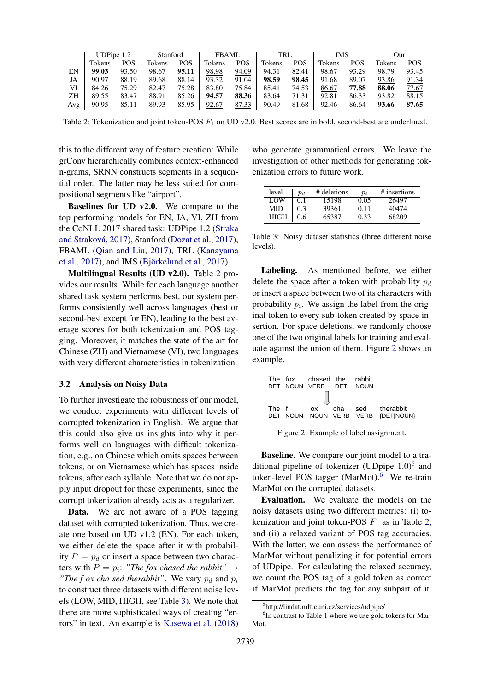<span id="page-3-0"></span>

|     | UDPipe 1.2 |            | Stanford |            | <b>FBAML</b> |            | TRL    |       | IMS    |       | Our    |       |
|-----|------------|------------|----------|------------|--------------|------------|--------|-------|--------|-------|--------|-------|
|     | Tokens     | <b>POS</b> | Tokens   | <b>POS</b> | Tokens       | <b>POS</b> | Tokens | POS   | Tokens | POS   | Tokens | POS   |
| EN  | 99.03      | 93.50      | 98.67    | 95.11      | 98.98        | 94.09      | 94.31  | 82.41 | 98.67  | 93.29 | 98.79  | 93.45 |
| JA  | 90.97      | 88.19      | 89.68    | 88.14      | 93.32        | 91.04      | 98.59  | 98.45 | 91.68  | 89.07 | 93.86  | 91.34 |
| VI  | 84.26      | 75.29      | 82.47    | 75.28      | 83.80        | 75.84      | 85.41  | 74.53 | 86.67  | 77.88 | 88.06  | 77.67 |
| ZΗ  | 89.55      | 83.47      | 88.91    | 85.26      | 94.57        | 88.36      | 83.64  | 71.31 | 92.81  | 86.33 | 93.82  | 88.15 |
| Avg | 90.95      | 85.11      | 89.93    | 85.95      | 92.67        | 87.33      | 90.49  | 81.68 | 92.46  | 86.64 | 93.66  | 87.65 |

Table 2: Tokenization and joint token-POS  $F_1$  on UD v2.0. Best scores are in bold, second-best are underlined.

this to the different way of feature creation: While grConv hierarchically combines context-enhanced n-grams, SRNN constructs segments in a sequential order. The latter may be less suited for compositional segments like "airport".

Baselines for UD v2.0. We compare to the top performing models for EN, JA, VI, ZH from the CoNLL 2017 shared task: UDPipe 1.2 [\(Straka](#page-6-13) [and Strakova´,](#page-6-13) [2017\)](#page-6-13), Stanford [\(Dozat et al.,](#page-5-10) [2017\)](#page-5-10), FBAML [\(Qian and Liu,](#page-6-14) [2017\)](#page-6-14), TRL [\(Kanayama](#page-5-11) [et al.,](#page-5-11)  $2017$ ), and IMS (Björkelund et al.,  $2017$ ).

Multilingual Results (UD v2.0). Table [2](#page-3-0) provides our results. While for each language another shared task system performs best, our system performs consistently well across languages (best or second-best except for EN), leading to the best average scores for both tokenization and POS tagging. Moreover, it matches the state of the art for Chinese (ZH) and Vietnamese (VI), two languages with very different characteristics in tokenization.

#### 3.2 Analysis on Noisy Data

To further investigate the robustness of our model, we conduct experiments with different levels of corrupted tokenization in English. We argue that this could also give us insights into why it performs well on languages with difficult tokenization, e.g., on Chinese which omits spaces between tokens, or on Vietnamese which has spaces inside tokens, after each syllable. Note that we do not apply input dropout for these experiments, since the corrupt tokenization already acts as a regularizer.

Data. We are not aware of a POS tagging dataset with corrupted tokenization. Thus, we create one based on UD v1.2 (EN). For each token, we either delete the space after it with probability  $P = p_d$  or insert a space between two characters with  $P = p_i$ : "The fox chased the rabbit"  $\rightarrow$ *"The f ox cha sed therabbit".* We vary  $p_d$  and  $p_i$ to construct three datasets with different noise levels (LOW, MID, HIGH, see Table [3\)](#page-3-1). We note that there are more sophisticated ways of creating "errors" in text. An example is [Kasewa et al.](#page-5-13) [\(2018\)](#page-5-13)

who generate grammatical errors. We leave the investigation of other methods for generating tokenization errors to future work.

<span id="page-3-1"></span>

| level | $p_d$ | # deletions | $p_i$ | # insertions |
|-------|-------|-------------|-------|--------------|
| LOW   | 0.1   | 15198       | 0.05  | 26497        |
| MID   | 0.3   | 39361       | 0.11  | 40474        |
| HIGH  | 0.6   | 65387       | 0.33  | 68209        |

Table 3: Noisy dataset statistics (three different noise levels).

Labeling. As mentioned before, we either delete the space after a token with probability  $p_d$ or insert a space between two of its characters with probability  $p_i$ . We assign the label from the original token to every sub-token created by space insertion. For space deletions, we randomly choose one of the two original labels for training and evaluate against the union of them. Figure [2](#page-3-2) shows an example.

<span id="page-3-2"></span>

Figure 2: Example of label assignment.

Baseline. We compare our joint model to a traditional pipeline of tokenizer (UDpipe  $1.0$ )<sup>[5](#page-3-3)</sup> and token-level POS tagger (MarMot). $6$  We re-train MarMot on the corrupted datasets.

Evaluation. We evaluate the models on the noisy datasets using two different metrics: (i) tokenization and joint token-POS  $F_1$  as in Table [2,](#page-3-0) and (ii) a relaxed variant of POS tag accuracies. With the latter, we can assess the performance of MarMot without penalizing it for potential errors of UDpipe. For calculating the relaxed accuracy, we count the POS tag of a gold token as correct if MarMot predicts the tag for any subpart of it.

<span id="page-3-4"></span><span id="page-3-3"></span><sup>5</sup> http://lindat.mff.cuni.cz/services/udpipe/

<sup>&</sup>lt;sup>6</sup>In contrast to Table [1](#page-2-2) where we use gold tokens for Mar-Mot.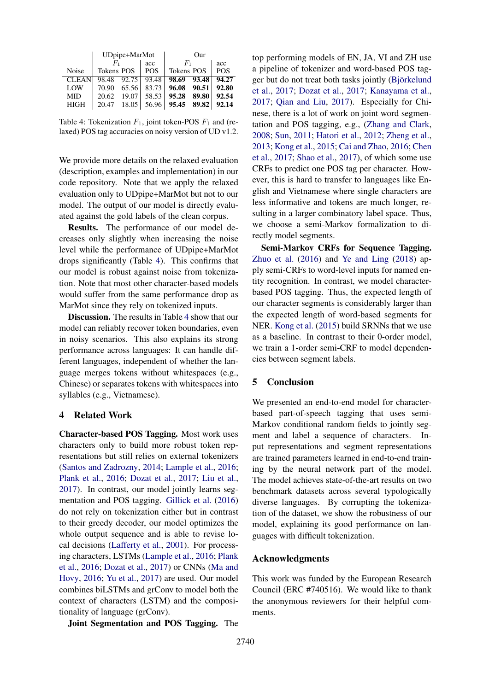<span id="page-4-0"></span>

|              | UDpipe+MarMot  |                 | Our                       |            |  |
|--------------|----------------|-----------------|---------------------------|------------|--|
|              | F1             | acc             | $F_1$                     | acc        |  |
| Noise        | Tokens POS     | <b>POS</b>      | <b>Tokens POS</b>         | <b>POS</b> |  |
| <b>CLEAN</b> | 98.48 92.75    | $ 93.48\rangle$ | 98.69 93.48               | 94.27      |  |
| LOW          | 70.90          |                 | $65.56$ 83.73 96.08 90.51 | 92.80      |  |
| MID          | 19.07<br>20.62 | 58.53           | 95.28<br>89.80            | 92.54      |  |
| <b>HIGH</b>  | 18.05<br>20.47 |                 | 56.96 95.45 89.82         | 92.14      |  |

Table 4: Tokenization  $F_1$ , joint token-POS  $F_1$  and (relaxed) POS tag accuracies on noisy version of UD v1.2.

We provide more details on the relaxed evaluation (description, examples and implementation) in our code repository. Note that we apply the relaxed evaluation only to UDpipe+MarMot but not to our model. The output of our model is directly evaluated against the gold labels of the clean corpus.

Results. The performance of our model decreases only slightly when increasing the noise level while the performance of UDpipe+MarMot drops significantly (Table [4\)](#page-4-0). This confirms that our model is robust against noise from tokenization. Note that most other character-based models would suffer from the same performance drop as MarMot since they rely on tokenized inputs.

Discussion. The results in Table [4](#page-4-0) show that our model can reliably recover token boundaries, even in noisy scenarios. This also explains its strong performance across languages: It can handle different languages, independent of whether the language merges tokens without whitespaces (e.g., Chinese) or separates tokens with whitespaces into syllables (e.g., Vietnamese).

#### 4 Related Work

Character-based POS Tagging. Most work uses characters only to build more robust token representations but still relies on external tokenizers [\(Santos and Zadrozny,](#page-6-2) [2014;](#page-6-2) [Lample et al.,](#page-5-2) [2016;](#page-5-2) [Plank et al.,](#page-6-3) [2016;](#page-6-3) [Dozat et al.,](#page-5-10) [2017;](#page-5-10) [Liu et al.,](#page-5-14) [2017\)](#page-5-14). In contrast, our model jointly learns segmentation and POS tagging. [Gillick et al.](#page-5-8) [\(2016\)](#page-5-8) do not rely on tokenization either but in contrast to their greedy decoder, our model optimizes the whole output sequence and is able to revise local decisions [\(Lafferty et al.,](#page-5-15) [2001\)](#page-5-15). For processing characters, LSTMs [\(Lample et al.,](#page-5-2) [2016;](#page-5-2) [Plank](#page-6-3) [et al.,](#page-6-3) [2016;](#page-6-3) [Dozat et al.,](#page-5-10) [2017\)](#page-5-10) or CNNs [\(Ma and](#page-5-3) [Hovy,](#page-5-3) [2016;](#page-5-3) [Yu et al.,](#page-6-4) [2017\)](#page-6-4) are used. Our model combines biLSTMs and grConv to model both the context of characters (LSTM) and the compositionality of language (grConv).

Joint Segmentation and POS Tagging. The

top performing models of EN, JA, VI and ZH use a pipeline of tokenizer and word-based POS tagger but do not treat both tasks jointly (Björkelund [et al.,](#page-5-12) [2017;](#page-5-12) [Dozat et al.,](#page-5-10) [2017;](#page-5-10) [Kanayama et al.,](#page-5-11) [2017;](#page-5-11) [Qian and Liu,](#page-6-14) [2017\)](#page-6-14). Especially for Chinese, there is a lot of work on joint word segmentation and POS tagging, e.g., [\(Zhang and Clark,](#page-6-15) [2008;](#page-6-15) [Sun,](#page-6-16) [2011;](#page-6-16) [Hatori et al.,](#page-5-16) [2012;](#page-5-16) [Zheng et al.,](#page-7-1) [2013;](#page-7-1) [Kong et al.,](#page-5-5) [2015;](#page-5-5) [Cai and Zhao,](#page-5-17) [2016;](#page-5-17) [Chen](#page-5-18) [et al.,](#page-5-18) [2017;](#page-5-18) [Shao et al.,](#page-6-17) [2017\)](#page-6-17), of which some use CRFs to predict one POS tag per character. However, this is hard to transfer to languages like English and Vietnamese where single characters are less informative and tokens are much longer, resulting in a larger combinatory label space. Thus, we choose a semi-Markov formalization to directly model segments.

Semi-Markov CRFs for Sequence Tagging. [Zhuo et al.](#page-7-0) [\(2016\)](#page-7-0) and [Ye and Ling](#page-6-12) [\(2018\)](#page-6-12) apply semi-CRFs to word-level inputs for named entity recognition. In contrast, we model characterbased POS tagging. Thus, the expected length of our character segments is considerably larger than the expected length of word-based segments for NER. [Kong et al.](#page-5-5) [\(2015\)](#page-5-5) build SRNNs that we use as a baseline. In contrast to their 0-order model, we train a 1-order semi-CRF to model dependencies between segment labels.

# 5 Conclusion

We presented an end-to-end model for characterbased part-of-speech tagging that uses semi-Markov conditional random fields to jointly segment and label a sequence of characters. Input representations and segment representations are trained parameters learned in end-to-end training by the neural network part of the model. The model achieves state-of-the-art results on two benchmark datasets across several typologically diverse languages. By corrupting the tokenization of the dataset, we show the robustness of our model, explaining its good performance on languages with difficult tokenization.

### Acknowledgments

This work was funded by the European Research Council (ERC #740516). We would like to thank the anonymous reviewers for their helpful comments.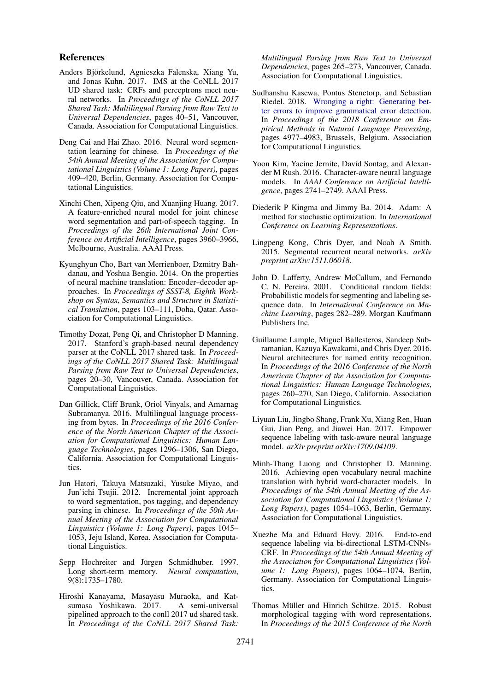#### References

- <span id="page-5-12"></span>Anders Björkelund, Agnieszka Falenska, Xiang Yu, and Jonas Kuhn. 2017. IMS at the CoNLL 2017 UD shared task: CRFs and perceptrons meet neural networks. In *Proceedings of the CoNLL 2017 Shared Task: Multilingual Parsing from Raw Text to Universal Dependencies*, pages 40–51, Vancouver, Canada. Association for Computational Linguistics.
- <span id="page-5-17"></span>Deng Cai and Hai Zhao. 2016. Neural word segmentation learning for chinese. In *Proceedings of the 54th Annual Meeting of the Association for Computational Linguistics (Volume 1: Long Papers)*, pages 409–420, Berlin, Germany. Association for Computational Linguistics.
- <span id="page-5-18"></span>Xinchi Chen, Xipeng Qiu, and Xuanjing Huang. 2017. A feature-enriched neural model for joint chinese word segmentation and part-of-speech tagging. In *Proceedings of the 26th International Joint Conference on Artificial Intelligence*, pages 3960–3966, Melbourne, Australia. AAAI Press.
- <span id="page-5-6"></span>Kyunghyun Cho, Bart van Merrienboer, Dzmitry Bahdanau, and Yoshua Bengio. 2014. On the properties of neural machine translation: Encoder–decoder approaches. In *Proceedings of SSST-8, Eighth Workshop on Syntax, Semantics and Structure in Statistical Translation*, pages 103–111, Doha, Qatar. Association for Computational Linguistics.
- <span id="page-5-10"></span>Timothy Dozat, Peng Qi, and Christopher D Manning. 2017. Stanford's graph-based neural dependency parser at the CoNLL 2017 shared task. In *Proceedings of the CoNLL 2017 Shared Task: Multilingual Parsing from Raw Text to Universal Dependencies*, pages 20–30, Vancouver, Canada. Association for Computational Linguistics.
- <span id="page-5-8"></span>Dan Gillick, Cliff Brunk, Oriol Vinyals, and Amarnag Subramanya. 2016. Multilingual language processing from bytes. In *Proceedings of the 2016 Conference of the North American Chapter of the Association for Computational Linguistics: Human Language Technologies*, pages 1296–1306, San Diego, California. Association for Computational Linguistics.
- <span id="page-5-16"></span>Jun Hatori, Takuya Matsuzaki, Yusuke Miyao, and Jun'ichi Tsujii. 2012. Incremental joint approach to word segmentation, pos tagging, and dependency parsing in chinese. In *Proceedings of the 50th Annual Meeting of the Association for Computational Linguistics (Volume 1: Long Papers)*, pages 1045– 1053, Jeju Island, Korea. Association for Computational Linguistics.
- <span id="page-5-4"></span>Sepp Hochreiter and Jürgen Schmidhuber. 1997. Long short-term memory. *Neural computation*, 9(8):1735–1780.
- <span id="page-5-11"></span>Hiroshi Kanayama, Masayasu Muraoka, and Katsumasa Yoshikawa. 2017. pipelined approach to the conll 2017 ud shared task. In *Proceedings of the CoNLL 2017 Shared Task:*

*Multilingual Parsing from Raw Text to Universal Dependencies*, pages 265–273, Vancouver, Canada. Association for Computational Linguistics.

- <span id="page-5-13"></span>Sudhanshu Kasewa, Pontus Stenetorp, and Sebastian Riedel. 2018. [Wronging a right: Generating bet](http://aclweb.org/anthology/D18-1541)[ter errors to improve grammatical error detection.](http://aclweb.org/anthology/D18-1541) In *Proceedings of the 2018 Conference on Empirical Methods in Natural Language Processing*, pages 4977–4983, Brussels, Belgium. Association for Computational Linguistics.
- <span id="page-5-0"></span>Yoon Kim, Yacine Jernite, David Sontag, and Alexander M Rush. 2016. Character-aware neural language models. In *AAAI Conference on Artificial Intelligence*, pages 2741–2749. AAAI Press.
- <span id="page-5-7"></span>Diederik P Kingma and Jimmy Ba. 2014. Adam: A method for stochastic optimization. In *International Conference on Learning Representations*.
- <span id="page-5-5"></span>Lingpeng Kong, Chris Dyer, and Noah A Smith. 2015. Segmental recurrent neural networks. *arXiv preprint arXiv:1511.06018*.
- <span id="page-5-15"></span>John D. Lafferty, Andrew McCallum, and Fernando C. N. Pereira. 2001. Conditional random fields: Probabilistic models for segmenting and labeling sequence data. In *International Conference on Machine Learning*, pages 282–289. Morgan Kaufmann Publishers Inc.
- <span id="page-5-2"></span>Guillaume Lample, Miguel Ballesteros, Sandeep Subramanian, Kazuya Kawakami, and Chris Dyer. 2016. Neural architectures for named entity recognition. In *Proceedings of the 2016 Conference of the North American Chapter of the Association for Computational Linguistics: Human Language Technologies*, pages 260–270, San Diego, California. Association for Computational Linguistics.
- <span id="page-5-14"></span>Liyuan Liu, Jingbo Shang, Frank Xu, Xiang Ren, Huan Gui, Jian Peng, and Jiawei Han. 2017. Empower sequence labeling with task-aware neural language model. *arXiv preprint arXiv:1709.04109*.
- <span id="page-5-1"></span>Minh-Thang Luong and Christopher D. Manning. 2016. Achieving open vocabulary neural machine translation with hybrid word-character models. In *Proceedings of the 54th Annual Meeting of the Association for Computational Linguistics (Volume 1: Long Papers)*, pages 1054–1063, Berlin, Germany. Association for Computational Linguistics.
- <span id="page-5-3"></span>Xuezhe Ma and Eduard Hovy. 2016. End-to-end sequence labeling via bi-directional LSTM-CNNs-CRF. In *Proceedings of the 54th Annual Meeting of the Association for Computational Linguistics (Volume 1: Long Papers)*, pages 1064–1074, Berlin, Germany. Association for Computational Linguistics.
- <span id="page-5-9"></span>Thomas Müller and Hinrich Schütze. 2015. Robust morphological tagging with word representations. In *Proceedings of the 2015 Conference of the North*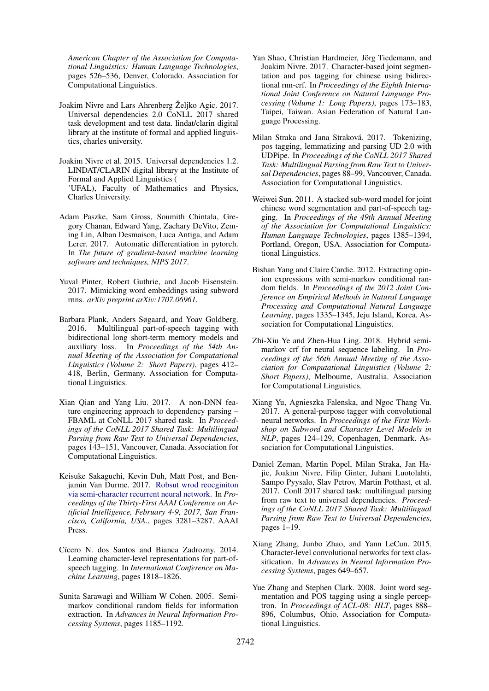*American Chapter of the Association for Computational Linguistics: Human Language Technologies*, pages 526–536, Denver, Colorado. Association for Computational Linguistics.

- <span id="page-6-10"></span>Joakim Nivre and Lars Ahrenberg Željko Agic. 2017. Universal dependencies 2.0 CoNLL 2017 shared task development and test data. lindat/clarin digital library at the institute of formal and applied linguistics, charles university.
- <span id="page-6-7"></span>Joakim Nivre et al. 2015. Universal dependencies 1.2. LINDAT/CLARIN digital library at the Institute of Formal and Applied Linguistics ( 'UFAL), Faculty of Mathematics and Physics, Charles University.
- <span id="page-6-9"></span>Adam Paszke, Sam Gross, Soumith Chintala, Gregory Chanan, Edward Yang, Zachary DeVito, Zeming Lin, Alban Desmaison, Luca Antiga, and Adam Lerer. 2017. Automatic differentiation in pytorch. In *The future of gradient-based machine learning software and techniques, NIPS 2017*.
- <span id="page-6-1"></span>Yuval Pinter, Robert Guthrie, and Jacob Eisenstein. 2017. Mimicking word embeddings using subword rnns. *arXiv preprint arXiv:1707.06961*.
- <span id="page-6-3"></span>Barbara Plank, Anders Søgaard, and Yoav Goldberg. 2016. Multilingual part-of-speech tagging with bidirectional long short-term memory models and auxiliary loss. In *Proceedings of the 54th Annual Meeting of the Association for Computational Linguistics (Volume 2: Short Papers)*, pages 412– 418, Berlin, Germany. Association for Computational Linguistics.
- <span id="page-6-14"></span>Xian Qian and Yang Liu. 2017. A non-DNN feature engineering approach to dependency parsing – FBAML at CoNLL 2017 shared task. In *Proceedings of the CoNLL 2017 Shared Task: Multilingual Parsing from Raw Text to Universal Dependencies*, pages 143–151, Vancouver, Canada. Association for Computational Linguistics.
- <span id="page-6-5"></span>Keisuke Sakaguchi, Kevin Duh, Matt Post, and Benjamin Van Durme. 2017. [Robsut wrod reocginiton](http://aaai.org/ocs/index.php/AAAI/AAAI17/paper/view/14332) [via semi-character recurrent neural network.](http://aaai.org/ocs/index.php/AAAI/AAAI17/paper/view/14332) In *Proceedings of the Thirty-First AAAI Conference on Artificial Intelligence, February 4-9, 2017, San Francisco, California, USA.*, pages 3281–3287. AAAI Press.
- <span id="page-6-2"></span>Cícero N. dos Santos and Bianca Zadrozny. 2014. Learning character-level representations for part-ofspeech tagging. In *International Conference on Machine Learning*, pages 1818–1826.
- <span id="page-6-6"></span>Sunita Sarawagi and William W Cohen. 2005. Semimarkov conditional random fields for information extraction. In *Advances in Neural Information Processing Systems*, pages 1185–1192.
- <span id="page-6-17"></span>Yan Shao, Christian Hardmeier, Jörg Tiedemann, and Joakim Nivre. 2017. Character-based joint segmentation and pos tagging for chinese using bidirectional rnn-crf. In *Proceedings of the Eighth International Joint Conference on Natural Language Processing (Volume 1: Long Papers)*, pages 173–183, Taipei, Taiwan. Asian Federation of Natural Language Processing.
- <span id="page-6-13"></span>Milan Straka and Jana Straková. 2017. Tokenizing, pos tagging, lemmatizing and parsing UD 2.0 with UDPipe. In *Proceedings of the CoNLL 2017 Shared Task: Multilingual Parsing from Raw Text to Universal Dependencies*, pages 88–99, Vancouver, Canada. Association for Computational Linguistics.
- <span id="page-6-16"></span>Weiwei Sun. 2011. A stacked sub-word model for joint chinese word segmentation and part-of-speech tagging. In *Proceedings of the 49th Annual Meeting of the Association for Computational Linguistics: Human Language Technologies*, pages 1385–1394, Portland, Oregon, USA. Association for Computational Linguistics.
- <span id="page-6-8"></span>Bishan Yang and Claire Cardie. 2012. Extracting opinion expressions with semi-markov conditional random fields. In *Proceedings of the 2012 Joint Conference on Empirical Methods in Natural Language Processing and Computational Natural Language Learning*, pages 1335–1345, Jeju Island, Korea. Association for Computational Linguistics.
- <span id="page-6-12"></span>Zhi-Xiu Ye and Zhen-Hua Ling. 2018. Hybrid semimarkov crf for neural sequence labeling. In *Proceedings of the 56th Annual Meeting of the Association for Computational Linguistics (Volume 2: Short Papers)*, Melbourne, Australia. Association for Computational Linguistics.
- <span id="page-6-4"></span>Xiang Yu, Agnieszka Falenska, and Ngoc Thang Vu. 2017. A general-purpose tagger with convolutional neural networks. In *Proceedings of the First Workshop on Subword and Character Level Models in NLP*, pages 124–129, Copenhagen, Denmark. Association for Computational Linguistics.
- <span id="page-6-11"></span>Daniel Zeman, Martin Popel, Milan Straka, Jan Hajic, Joakim Nivre, Filip Ginter, Juhani Luotolahti, Sampo Pyysalo, Slav Petrov, Martin Potthast, et al. 2017. Conll 2017 shared task: multilingual parsing from raw text to universal dependencies. *Proceedings of the CoNLL 2017 Shared Task: Multilingual Parsing from Raw Text to Universal Dependencies*, pages 1–19.
- <span id="page-6-0"></span>Xiang Zhang, Junbo Zhao, and Yann LeCun. 2015. Character-level convolutional networks for text classification. In *Advances in Neural Information Processing Systems*, pages 649–657.
- <span id="page-6-15"></span>Yue Zhang and Stephen Clark. 2008. Joint word segmentation and POS tagging using a single perceptron. In *Proceedings of ACL-08: HLT*, pages 888– 896, Columbus, Ohio. Association for Computational Linguistics.